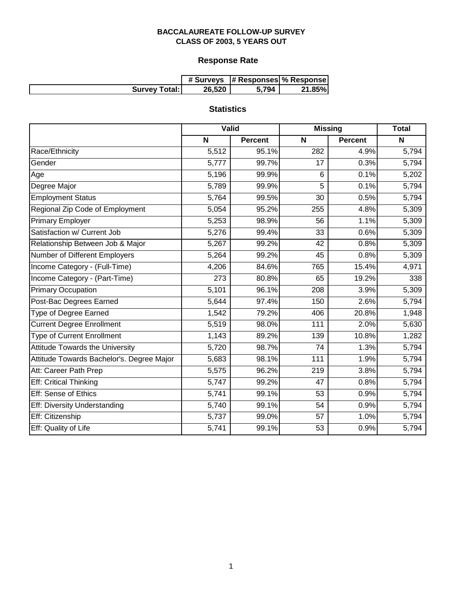# **Response Rate**

|                      |        | # Surveys  # Responses  % Response |        |
|----------------------|--------|------------------------------------|--------|
| <b>Survey Total:</b> | 26,520 | 5,794                              | 21.85% |

# **Statistics**

|                                           | Valid |                | <b>Missing</b> | <b>Total</b>   |       |
|-------------------------------------------|-------|----------------|----------------|----------------|-------|
|                                           | N     | <b>Percent</b> | N              | <b>Percent</b> | N     |
| Race/Ethnicity                            | 5,512 | 95.1%          | 282            | 4.9%           | 5,794 |
| Gender                                    | 5,777 | 99.7%          | 17             | 0.3%           | 5,794 |
| Age                                       | 5,196 | 99.9%          | 6              | 0.1%           | 5,202 |
| Degree Major                              | 5,789 | 99.9%          | 5              | 0.1%           | 5,794 |
| <b>Employment Status</b>                  | 5,764 | 99.5%          | 30             | 0.5%           | 5,794 |
| Regional Zip Code of Employment           | 5,054 | 95.2%          | 255            | 4.8%           | 5,309 |
| <b>Primary Employer</b>                   | 5,253 | 98.9%          | 56             | 1.1%           | 5,309 |
| Satisfaction w/ Current Job               | 5,276 | 99.4%          | 33             | 0.6%           | 5,309 |
| Relationship Between Job & Major          | 5,267 | 99.2%          | 42             | 0.8%           | 5,309 |
| Number of Different Employers             | 5,264 | 99.2%          | 45             | 0.8%           | 5,309 |
| Income Category - (Full-Time)             | 4,206 | 84.6%          | 765            | 15.4%          | 4,971 |
| Income Category - (Part-Time)             | 273   | 80.8%          | 65             | 19.2%          | 338   |
| <b>Primary Occupation</b>                 | 5,101 | 96.1%          | 208            | 3.9%           | 5,309 |
| Post-Bac Degrees Earned                   | 5,644 | 97.4%          | 150            | 2.6%           | 5,794 |
| <b>Type of Degree Earned</b>              | 1,542 | 79.2%          | 406            | 20.8%          | 1,948 |
| <b>Current Degree Enrollment</b>          | 5,519 | 98.0%          | 111            | 2.0%           | 5,630 |
| <b>Type of Current Enrollment</b>         | 1,143 | 89.2%          | 139            | 10.8%          | 1,282 |
| Attitude Towards the University           | 5,720 | 98.7%          | 74             | 1.3%           | 5,794 |
| Attitude Towards Bachelor's. Degree Major | 5,683 | 98.1%          | 111            | 1.9%           | 5,794 |
| Att: Career Path Prep                     | 5,575 | 96.2%          | 219            | 3.8%           | 5,794 |
| <b>Eff: Critical Thinking</b>             | 5,747 | 99.2%          | 47             | 0.8%           | 5,794 |
| Eff: Sense of Ethics                      | 5,741 | 99.1%          | 53             | 0.9%           | 5,794 |
| Eff: Diversity Understanding              | 5,740 | 99.1%          | 54             | 0.9%           | 5,794 |
| Eff: Citizenship                          | 5,737 | 99.0%          | 57             | 1.0%           | 5,794 |
| Eff: Quality of Life                      | 5,741 | 99.1%          | 53             | 0.9%           | 5,794 |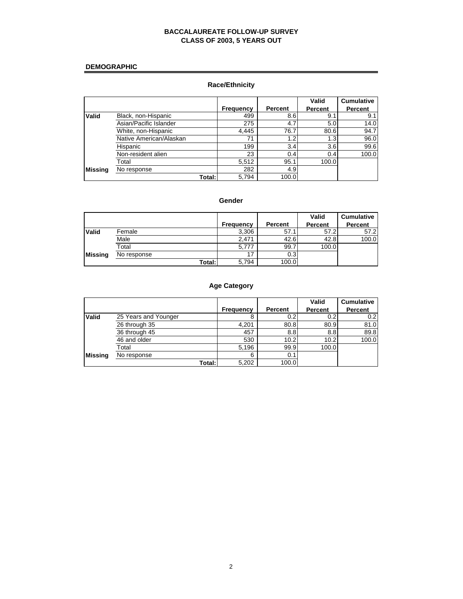# **DEMOGRAPHIC**

# **Race/Ethnicity**

|         |                         |                  |         | <b>Valid</b>   | <b>Cumulative</b> |
|---------|-------------------------|------------------|---------|----------------|-------------------|
|         |                         | <b>Frequency</b> | Percent | <b>Percent</b> | <b>Percent</b>    |
| Valid   | Black, non-Hispanic     | 499              | 8.6     | 9.             | 9.1               |
|         | Asian/Pacific Islander  | 275              | 4.7     | 5.0            | 14.0              |
|         | White, non-Hispanic     | 4.445            | 76.7    | 80.6           | 94.7              |
|         | Native American/Alaskan | 71               | 1.2     | 1.3            | 96.0              |
|         | Hispanic                | 199              | 3.4     | 3.6            | 99.6              |
|         | Non-resident alien      | 23               | 0.4     | 0.4            | 100.0             |
|         | Total                   | 5,512            | 95.1    | 100.0          |                   |
| Missina | No response             | 282              | 4.9     |                |                   |
|         | Total:I                 | 5.794            | 100.0   |                |                   |

#### **Gender**

|                |             |           |                | <b>Valid</b>   | <b>Cumulative</b> |
|----------------|-------------|-----------|----------------|----------------|-------------------|
|                |             | Frequency | <b>Percent</b> | <b>Percent</b> | <b>Percent</b>    |
| <b>Valid</b>   | Female      | 3,306     | 57.1           | 57.2           | 57.2              |
|                | Male        | 2.471     | 42.6           | 42.8           | 100.0             |
|                | Total       | 5,777     | 99.7           | 100.0          |                   |
| <b>Missing</b> | No response | 17        | 0.3            |                |                   |
|                | Total:      | 5,794     | 100.0          |                |                   |

# **Age Category**

|                |                      |                  |         | Valid   | <b>Cumulative</b> |
|----------------|----------------------|------------------|---------|---------|-------------------|
|                |                      | <b>Frequency</b> | Percent | Percent | Percent           |
| Valid          | 25 Years and Younger | 8                | 0.2     | 0.2     | 0.2               |
|                | 26 through 35        | 4,201            | 80.8    | 80.9    | 81.0              |
|                | 36 through 45        | 457              | 8.8     | 8.8     | 89.8              |
|                | 46 and older         | 530              | 10.2    | 10.2    | 100.0             |
|                | Total                | 5,196            | 99.9    | 100.0   |                   |
| <b>Missing</b> | No response          | 6                | 0.1     |         |                   |
|                | Total:               | 5,202            | 100.0   |         |                   |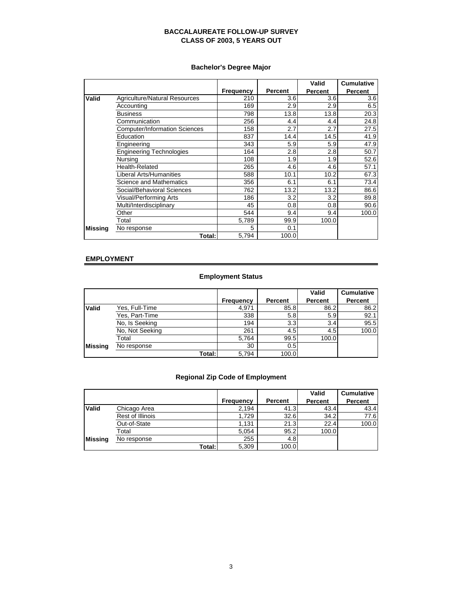# **Bachelor's Degree Major**

|         |                                      |                  |                | Valid          | <b>Cumulative</b> |
|---------|--------------------------------------|------------------|----------------|----------------|-------------------|
|         |                                      | <b>Frequency</b> | <b>Percent</b> | <b>Percent</b> | <b>Percent</b>    |
| Valid   | Agriculture/Natural Resources        | 210              | 3.6            | 3.6            | 3.6               |
|         | Accounting                           | 169              | 2.9            | 2.9            | 6.5               |
|         | <b>Business</b>                      | 798              | 13.8           | 13.8           | 20.3              |
|         | Communication                        | 256              | 4.4            | 4.4            | 24.8              |
|         | <b>Computer/Information Sciences</b> | 158              | 2.7            | 2.7            | 27.5              |
|         | Education                            | 837              | 14.4           | 14.5           | 41.9              |
|         | Engineering                          | 343              | 5.9            | 5.9            | 47.9              |
|         | <b>Engineering Technologies</b>      | 164              | 2.8            | 2.8            | 50.7              |
|         | Nursing                              | 108              | 1.9            | 1.9            | 52.6              |
|         | <b>Health-Related</b>                | 265              | 4.6            | 4.6            | 57.1              |
|         | Liberal Arts/Humanities              | 588              | 10.1           | 10.2           | 67.3              |
|         | Science and Mathematics              | 356              | 6.1            | 6.1            | 73.4              |
|         | Social/Behavioral Sciences           | 762              | 13.2           | 13.2           | 86.6              |
|         | Visual/Performing Arts               | 186              | 3.2            | 3.2            | 89.8              |
|         | Multi/Interdisciplinary              | 45               | 0.8            | 0.8            | 90.6              |
|         | Other                                | 544              | 9.4            | 9.4            | 100.0             |
|         | Total                                | 5,789            | 99.9           | 100.0          |                   |
| Missina | No response                          | 5                | 0.1            |                |                   |
|         | Total:                               | 5,794            | 100.0          |                |                   |

# **EMPLOYMENT**

# **Employment Status**

|                |                 |                  |         | Valid          | <b>Cumulative</b> |
|----------------|-----------------|------------------|---------|----------------|-------------------|
|                |                 | <b>Frequency</b> | Percent | <b>Percent</b> | <b>Percent</b>    |
| <b>Valid</b>   | Yes, Full-Time  | 4,971            | 85.8    | 86.2           | 86.2              |
|                | Yes, Part-Time  | 338              | 5.8     | 5.9            | 92.1              |
|                | No. Is Seeking  | 194              | 3.3     | 3.4            | 95.5              |
|                | No, Not Seeking | 261              | 4.5     | 4.5            | 100.0             |
|                | Total           | 5,764            | 99.5    | 100.0          |                   |
| <b>Missing</b> | No response     | 30               | 0.5     |                |                   |
|                | Total:          | 5,794            | 100.0   |                |                   |

# **Regional Zip Code of Employment**

|                |                  |           |         | <b>Valid</b>   | <b>Cumulative</b> |
|----------------|------------------|-----------|---------|----------------|-------------------|
|                |                  | Frequency | Percent | <b>Percent</b> | <b>Percent</b>    |
| <b>Valid</b>   | Chicago Area     | 2,194     | 41.3    | 43.4           | 43.4              |
|                | Rest of Illinois | 1,729     | 32.6    | 34.2           | 77.6              |
|                | Out-of-State     | 1,131     | 21.3    | 22.4           | 100.0             |
|                | Total            | 5.054     | 95.2    | 100.0          |                   |
| <b>Missing</b> | No response      | 255       | 4.8     |                |                   |
|                | Total:           | 5,309     | 100.0   |                |                   |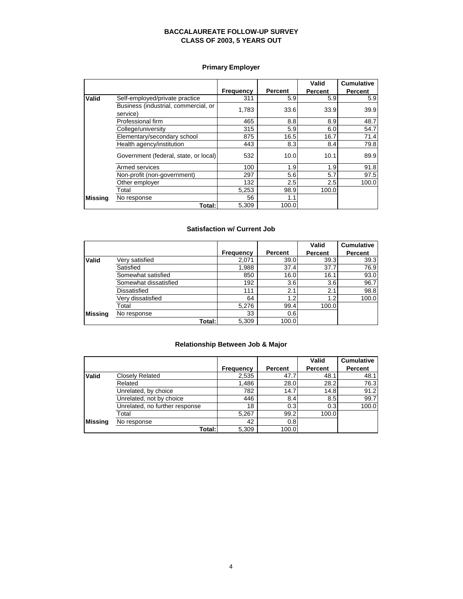# **Primary Employer**

|                |                                                  |                  |                | Valid          | <b>Cumulative</b> |
|----------------|--------------------------------------------------|------------------|----------------|----------------|-------------------|
|                |                                                  | <b>Frequency</b> | <b>Percent</b> | <b>Percent</b> | Percent           |
| Valid          | Self-employed/private practice                   | 311              | 5.9            | 5.9            | 5.9               |
|                | Business (industrial, commercial, or<br>service) | 1.783            | 33.6           | 33.9           | 39.9              |
|                | Professional firm                                | 465              | 8.8            | 8.9            | 48.7              |
|                | College/university                               | 315              | 5.9            | 6.0            | 54.7              |
|                | Elementary/secondary school                      | 875              | 16.5           | 16.7           | 71.4              |
|                | Health agency/institution                        | 443              | 8.3            | 8.4            | 79.8              |
|                | Government (federal, state, or local)            | 532              | 10.0           | 10.1           | 89.9              |
|                | Armed services                                   | 100              | 1.9            | 1.9            | 91.8              |
|                | Non-profit (non-government)                      | 297              | 5.6            | 5.7            | 97.5              |
|                | Other employer                                   | 132              | 2.5            | 2.5            | 100.0             |
|                | Total                                            | 5,253            | 98.9           | 100.0          |                   |
| <b>Missing</b> | No response                                      | 56               | 1.1            |                |                   |
|                | Total:I                                          | 5,309            | 100.0          |                |                   |

#### **Satisfaction w/ Current Job**

|                |                       |                  |         | Valid          | <b>Cumulative</b> |
|----------------|-----------------------|------------------|---------|----------------|-------------------|
|                |                       | <b>Frequency</b> | Percent | <b>Percent</b> | <b>Percent</b>    |
| <b>Valid</b>   | Very satisfied        | 2,071            | 39.0    | 39.3           | 39.3              |
|                | Satisfied             | 1,988            | 37.4    | 37.7           | 76.9              |
|                | Somewhat satisfied    | 850              | 16.0    | 16.1           | 93.0              |
|                | Somewhat dissatisfied | 192              | 3.6     | 3.6            | 96.7              |
|                | <b>Dissatisfied</b>   | 111              | 2.1     | 2.1            | 98.8              |
|                | Very dissatisfied     | 64               | 1.2     | 1.2            | 100.0             |
|                | Total                 | 5,276            | 99.4    | 100.0          |                   |
| <b>Missing</b> | No response           | 33               | 0.6     |                |                   |
|                | Total: I              | 5,309            | 100.0   |                |                   |

# **Relationship Between Job & Major**

|                |                                |                  |         | Valid   | <b>Cumulative</b> |
|----------------|--------------------------------|------------------|---------|---------|-------------------|
|                |                                | <b>Frequency</b> | Percent | Percent | <b>Percent</b>    |
| <b>Valid</b>   | <b>Closely Related</b>         | 2,535            | 47.7    | 48.1    | 48.1              |
|                | Related                        | 1,486            | 28.0    | 28.2    | 76.3              |
|                | Unrelated, by choice           | 782              | 14.7    | 14.8    | 91.2              |
|                | Unrelated, not by choice       | 446              | 8.4     | 8.5     | 99.7              |
|                | Unrelated, no further response | 18               | 0.3     | 0.3     | 100.0             |
|                | Total                          | 5.267            | 99.2    | 100.0   |                   |
| <b>Missing</b> | No response                    | 42               | 0.8     |         |                   |
|                | Total:                         | 5,309            | 100.0   |         |                   |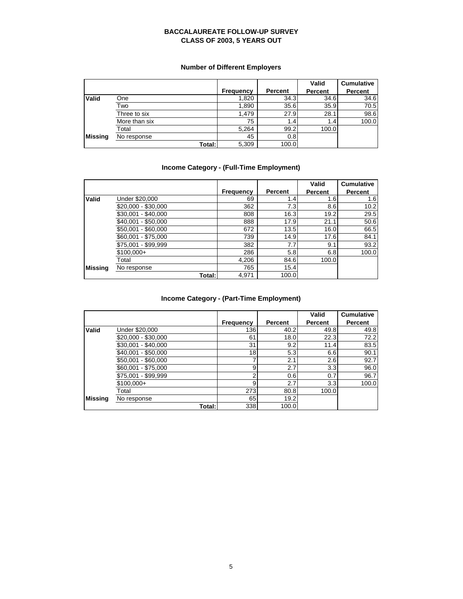# **Number of Different Employers**

|                |               |                  |         | Valid   | <b>Cumulative</b> |
|----------------|---------------|------------------|---------|---------|-------------------|
|                |               | <b>Frequency</b> | Percent | Percent | Percent           |
| <b>Valid</b>   | One           | 1,820            | 34.3    | 34.6    | 34.6              |
|                | Two           | 1,890            | 35.6    | 35.9    | 70.5              |
|                | Three to six  | 1.479            | 27.9    | 28.1    | 98.6              |
|                | More than six | 75               | 1.4     | 1.4     | 100.0             |
|                | Total         | 5,264            | 99.2    | 100.0   |                   |
| <b>Missing</b> | No response   | 45               | 0.8     |         |                   |
|                | Total:        | 5,309            | 100.0   |         |                   |

# **Income Category - (Full-Time Employment)**

|                |                     |                  |         | Valid          | <b>Cumulative</b> |
|----------------|---------------------|------------------|---------|----------------|-------------------|
|                |                     | <b>Frequency</b> | Percent | <b>Percent</b> | <b>Percent</b>    |
| <b>Valid</b>   | Under \$20,000      | 69               | 1.4     | 1.6            | 1.6               |
|                | \$20,000 - \$30,000 | 362              | 7.3     | 8.6            | 10.2              |
|                | $$30,001 - $40,000$ | 808              | 16.3    | 19.2           | 29.5              |
|                | \$40.001 - \$50.000 | 888              | 17.9    | 21.1           | 50.6              |
|                | \$50,001 - \$60,000 | 672              | 13.5    | 16.0           | 66.5              |
|                | \$60,001 - \$75,000 | 739              | 14.9    | 17.6           | 84.1              |
|                | \$75,001 - \$99,999 | 382              | 7.7     | 9.1            | 93.2              |
|                | $$100,000+$         | 286              | 5.8     | 6.8            | 100.0             |
|                | Total               | 4,206            | 84.6    | 100.0          |                   |
| <b>Missing</b> | No response         | 765              | 15.4    |                |                   |
|                | Total:              | 4,971            | 100.0   |                |                   |

# **Income Category - (Part-Time Employment)**

|              |                     |                  |         | Valid          | <b>Cumulative</b> |
|--------------|---------------------|------------------|---------|----------------|-------------------|
|              |                     | <b>Frequency</b> | Percent | <b>Percent</b> | <b>Percent</b>    |
| <b>Valid</b> | Under \$20,000      | 136              | 40.2    | 49.8           | 49.8              |
|              | \$20,000 - \$30,000 | 61               | 18.0    | 22.3           | 72.2              |
|              | \$30,001 - \$40,000 | 31               | 9.2     | 11.4           | 83.5              |
|              | \$40,001 - \$50,000 | 18               | 5.3     | 6.6            | 90.1              |
|              | \$50,001 - \$60,000 |                  | 2.1     | 2.6            | 92.7              |
|              | \$60,001 - \$75,000 | 9                | 2.7     | 3.3            | 96.0              |
|              | \$75,001 - \$99,999 | っ                | 0.6     | 0.7            | 96.7              |
|              | $$100,000+$         | 9                | 2.7     | 3.3            | 100.0             |
|              | Total               | 273              | 80.8    | 100.0          |                   |
| Missina      | No response         | 65               | 19.2    |                |                   |
|              | Total:              | 338              | 100.0   |                |                   |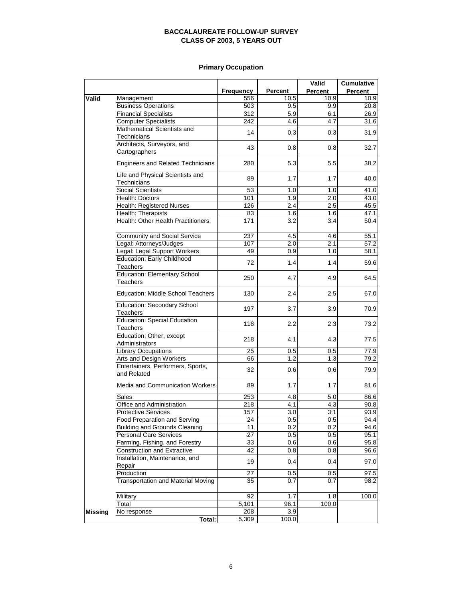# **Primary Occupation**

|                |                                                            |                  |                | Valid   | <b>Cumulative</b> |
|----------------|------------------------------------------------------------|------------------|----------------|---------|-------------------|
|                |                                                            | <b>Frequency</b> | <b>Percent</b> | Percent | <b>Percent</b>    |
| Valid          | Management                                                 | 556              | 10.5           | 10.9    | 10.9              |
|                | <b>Business Operations</b>                                 | 503              | 9.5            | 9.9     | 20.8              |
|                | <b>Financial Specialists</b>                               | 312              | 5.9            | 6.1     | 26.9              |
|                | <b>Computer Specialists</b><br>Mathematical Scientists and | 242              | 4.6            | 4.7     | 31.6              |
|                |                                                            | 14               | 0.3            | 0.3     | 31.9              |
|                | Technicians<br>Architects, Surveyors, and                  |                  |                |         |                   |
|                | Cartographers                                              | 43               | 0.8            | 0.8     | 32.7              |
|                | <b>Engineers and Related Technicians</b>                   | 280              | 5.3            | 5.5     | 38.2              |
|                | Life and Physical Scientists and<br>Technicians            | 89               | 1.7            | 1.7     | 40.0              |
|                | <b>Social Scientists</b>                                   | 53               | 1.0            | 1.0     | 41.0              |
|                | Health: Doctors                                            | 101              | 1.9            | 2.0     | 43.0              |
|                | Health: Registered Nurses                                  | 126              | 2.4            | 2.5     | 45.5              |
|                | Health: Therapists                                         | 83               | 1.6            | 1.6     | 47.1              |
|                | Health: Other Health Practitioners,                        | 171              | 3.2            | 3.4     | 50.4              |
|                | Community and Social Service                               | 237              | 4.5            | 4.6     | 55.1              |
|                | Legal: Attorneys/Judges                                    | 107              | 2.0            | 2.1     | 57.2              |
|                | Legal: Legal Support Workers                               | 49               | 0.9            | 1.0     | 58.1              |
|                | <b>Education: Early Childhood</b><br><b>Teachers</b>       | 72               | 1.4            | 1.4     | 59.6              |
|                | <b>Education: Elementary School</b><br>Teachers            | 250              | 4.7            | 4.9     | 64.5              |
|                | <b>Education: Middle School Teachers</b>                   | 130              | 2.4            | 2.5     | 67.0              |
|                | <b>Education: Secondary School</b><br><b>Teachers</b>      | 197              | 3.7            | 3.9     | 70.9              |
|                | <b>Education: Special Education</b><br><b>Teachers</b>     | 118              | 2.2            | 2.3     | 73.2              |
|                | Education: Other, except<br>Administrators                 | 218              | 4.1            | 4.3     | 77.5              |
|                | <b>Library Occupations</b>                                 | 25               | 0.5            | 0.5     | 77.9              |
|                | Arts and Design Workers                                    | 66               | 1.2            | 1.3     | $\overline{79.2}$ |
|                | Entertainers, Performers, Sports,<br>and Related           | 32               | 0.6            | 0.6     | 79.9              |
|                | Media and Communication Workers                            | 89               | 1.7            | 1.7     | 81.6              |
|                | <b>Sales</b>                                               | 253              | 4.8            | 5.0     | 86.6              |
|                | Office and Administration                                  | 218              | 4.1            | 4.3     | 90.8              |
|                | <b>Protective Services</b>                                 | 157              | 3.0            | 3.1     | 93.9              |
|                | Food Preparation and Serving                               | 24               | 0.5            | 0.5     | 94.4              |
|                | <b>Building and Grounds Cleaning</b>                       | 11               | 0.2            | 0.2     | 94.6              |
|                | Personal Care Services                                     | 27               | 0.5            | 0.5     | 95.1              |
|                | Farming, Fishing, and Forestry                             | 33               | 0.6            | 0.6     | 95.8              |
|                | <b>Construction and Extractive</b>                         | 42               | 0.8            | 0.8     | 96.6              |
|                | Installation, Maintenance, and<br>Repair                   | 19               | 0.4            | 0.4     | 97.0              |
|                | Production                                                 | 27               | 0.5            | 0.5     | 97.5              |
|                | <b>Transportation and Material Moving</b>                  | 35               | 0.7            | 0.7     | 98.2              |
|                | Military                                                   | 92               | 1.7            | 1.8     | 100.0             |
|                | Total                                                      | 5,101            | 96.1           | 100.0   |                   |
| <b>Missing</b> | No response                                                | 208              | 3.9            |         |                   |
|                | Total:                                                     | 5,309            | 100.0          |         |                   |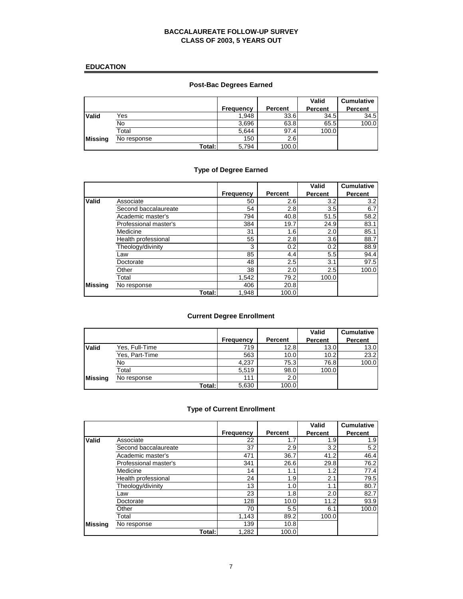# **EDUCATION**

# **Post-Bac Degrees Earned**

|                |             | Frequency | Percent | Valid<br><b>Percent</b> | <b>Cumulative</b><br>Percent |
|----------------|-------------|-----------|---------|-------------------------|------------------------------|
| <b>Valid</b>   | Yes         | 1.948     | 33.6    | 34.5                    | 34.5                         |
|                | No          | 3,696     | 63.8    | 65.5                    | 100.0                        |
|                | Total       | 5.644     | 97.4    | 100.0                   |                              |
| <b>Missing</b> | No response | 150       | 2.6     |                         |                              |
|                | Total:      | 5,794     | 100.0   |                         |                              |

# **Type of Degree Earned**

|                |                       |                  |         | Valid          | <b>Cumulative</b> |
|----------------|-----------------------|------------------|---------|----------------|-------------------|
|                |                       | <b>Frequency</b> | Percent | <b>Percent</b> | <b>Percent</b>    |
| <b>Valid</b>   | Associate             | 50               | 2.6     | 3.2            | 3.2               |
|                | Second baccalaureate  | 54               | 2.8     | 3.5            | 6.7               |
|                | Academic master's     | 794              | 40.8    | 51.5           | 58.2              |
|                | Professional master's | 384              | 19.7    | 24.9           | 83.1              |
|                | Medicine              | 31               | 1.6     | 2.0            | 85.1              |
|                | Health professional   | 55               | 2.8     | 3.6            | 88.7              |
|                | Theology/divinity     | 3                | 0.2     | 0.2            | 88.9              |
|                | Law                   | 85               | 4.4     | 5.5            | 94.4              |
|                | Doctorate             | 48               | 2.5     | 3.1            | 97.5              |
|                | Other                 | 38               | 2.0     | 2.5            | 100.0             |
|                | Total                 | 1,542            | 79.2    | 100.0          |                   |
| <b>Missing</b> | No response           | 406              | 20.8    |                |                   |
|                | Total:                | 1,948            | 100.0   |                |                   |

# **Current Degree Enrollment**

|                |                |           |                | Valid          | <b>Cumulative</b> |
|----------------|----------------|-----------|----------------|----------------|-------------------|
|                |                | Frequency | <b>Percent</b> | <b>Percent</b> | <b>Percent</b>    |
| <b>Valid</b>   | Yes, Full-Time | 719       | 12.8           | 13.0           | 13.0              |
|                | Yes, Part-Time | 563       | 10.0           | 10.2           | 23.2              |
|                | No             | 4,237     | 75.3           | 76.8           | 100.0             |
|                | Total          | 5.519     | 98.0           | 100.0          |                   |
| <b>Missing</b> | No response    | 111       | 2.0            |                |                   |
|                | Total: I       | 5,630     | 100.0          |                |                   |

# **Type of Current Enrollment**

|                |                       |                  |                | Valid          | <b>Cumulative</b> |
|----------------|-----------------------|------------------|----------------|----------------|-------------------|
|                |                       | <b>Frequency</b> | <b>Percent</b> | <b>Percent</b> | <b>Percent</b>    |
| Valid          | Associate             | 22               | 1.7            | 1.9            | 1.9               |
|                | Second baccalaureate  | 37               | 2.9            | 3.2            | 5.2               |
|                | Academic master's     | 471              | 36.7           | 41.2           | 46.4              |
|                | Professional master's | 341              | 26.6           | 29.8           | 76.2              |
|                | Medicine              | 14               | 1.1            | 1.2            | 77.4              |
|                | Health professional   | 24               | 1.9            | 2.1            | 79.5              |
|                | Theology/divinity     | 13               | 1.0            | 1.1            | 80.7              |
|                | ∟aw                   | 23               | 1.8            | 2.0            | 82.7              |
|                | Doctorate             | 128              | 10.0           | 11.2           | 93.9              |
|                | Other                 | 70               | 5.5            | 6.1            | 100.0             |
|                | Total                 | 1.143            | 89.2           | 100.0          |                   |
| <b>Missing</b> | No response           | 139              | 10.8           |                |                   |
|                | Total:I               | 1,282            | 100.0          |                |                   |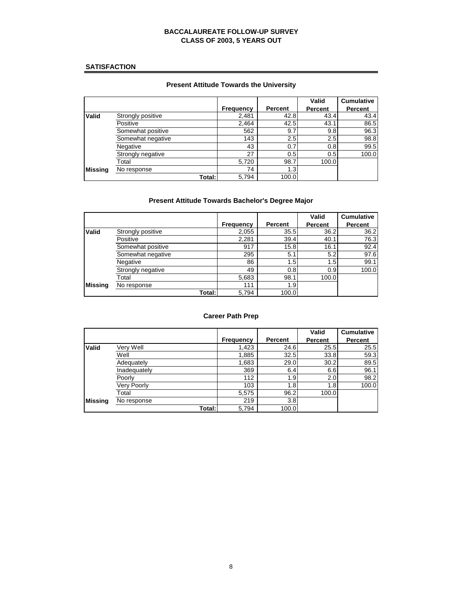#### **SATISFACTION**

# **Present Attitude Towards the University**

|                |                   |                  |         | Valid          | <b>Cumulative</b> |
|----------------|-------------------|------------------|---------|----------------|-------------------|
|                |                   | <b>Frequency</b> | Percent | <b>Percent</b> | <b>Percent</b>    |
| <b>Valid</b>   | Strongly positive | 2,481            | 42.8    | 43.4           | 43.4              |
|                | Positive          | 2.464            | 42.5    | 43.1           | 86.5              |
|                | Somewhat positive | 562              | 9.7     | 9.8            | 96.3              |
|                | Somewhat negative | 143              | 2.5     | 2.5            | 98.8              |
|                | Negative          | 43               | 0.7     | 0.8            | 99.5              |
|                | Strongly negative | 27               | 0.5     | 0.5            | 100.0             |
|                | Total             | 5,720            | 98.7    | 100.0          |                   |
| <b>Missing</b> | No response       | 74               | 1.3     |                |                   |
|                | Total:I           | 5.794            | 100.0   |                |                   |

# **Present Attitude Towards Bachelor's Degree Major**

|                |                   |                  |         | Valid          | <b>Cumulative</b> |
|----------------|-------------------|------------------|---------|----------------|-------------------|
|                |                   | <b>Frequency</b> | Percent | <b>Percent</b> | <b>Percent</b>    |
| <b>Valid</b>   | Strongly positive | 2,055            | 35.5    | 36.2           | 36.2              |
|                | Positive          | 2,281            | 39.4    | 40.1           | 76.3              |
|                | Somewhat positive | 917              | 15.8    | 16.1           | 92.4              |
|                | Somewhat negative | 295              | 5.1     | 5.2            | 97.6              |
|                | Negative          | 86               | 1.5     | 1.5            | 99.1              |
|                | Strongly negative | 49               | 0.8     | 0.9            | 100.0             |
|                | Total             | 5,683            | 98.1    | 100.0          |                   |
| <b>Missing</b> | No response       | 111              | 1.9     |                |                   |
|                | Total: I          | 5,794            | 100.0   |                |                   |

#### **Career Path Prep**

|                |              |                  |         | Valid          | <b>Cumulative</b> |
|----------------|--------------|------------------|---------|----------------|-------------------|
|                |              | <b>Frequency</b> | Percent | <b>Percent</b> | <b>Percent</b>    |
| <b>Valid</b>   | Very Well    | 1,423            | 24.6    | 25.5           | 25.5              |
|                | Well         | 1,885            | 32.5    | 33.8           | 59.3              |
|                | Adequately   | 1,683            | 29.0    | 30.2           | 89.5              |
|                | Inadequately | 369              | 6.4     | 6.6            | 96.1              |
|                | Poorly       | 112              | 1.9     | 2.0            | 98.2              |
|                | Very Poorly  | 103              | 1.8     | 1.8            | 100.0             |
|                | Total        | 5,575            | 96.2    | 100.0          |                   |
| <b>Missing</b> | No response  | 219              | 3.8     |                |                   |
|                | Total: I     | 5,794            | 100.0   |                |                   |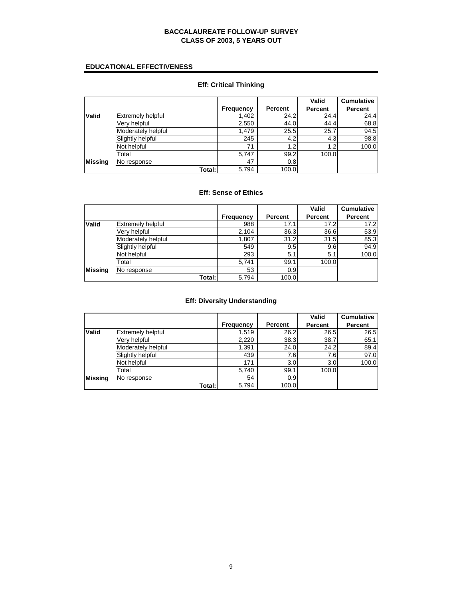### **EDUCATIONAL EFFECTIVENESS**

#### **Frequency Percent**<br>1,402 24.2 **Valid** Extremely helpful 1,402 24.2 24.4 24.4 24.4<br>
Very helpful 2,550 44.0 44.4 68.8 Very helpful 2,550 44.0 44.4 68.8<br>Moderately helpful 1,479 25.5 25.7 94.5 Moderately helpful 1,479 25.5 25.7 94.5<br>Slightly helpful 245 4.2 4.3 98.8 Slightly helpful 245 4.2 4.3 98.8<br>Not helpful 71 1.2 1.2 100.0 Not helpful 71 1.2 1.2 100.0 Total 5,747 99.2 100.0 **Missing** No response 47 0.8 5,794 100.0 **Valid Percent Cumulative Percent Total:**

#### **Eff: Critical Thinking**

# **Eff: Sense of Ethics**

|                |                    |                  |         | <b>Valid</b>   | <b>Cumulative</b> |
|----------------|--------------------|------------------|---------|----------------|-------------------|
|                |                    | <b>Frequency</b> | Percent | <b>Percent</b> | Percent           |
| <b>Valid</b>   | Extremely helpful  | 988              | 17.1    | 17.2           | 17.2              |
|                | Very helpful       | 2,104            | 36.3    | 36.6           | 53.9              |
|                | Moderately helpful | 1,807            | 31.2    | 31.5           | 85.3              |
|                | Slightly helpful   | 549              | 9.5     | 9.6            | 94.9              |
|                | Not helpful        | 293              | 5.1     | 5.1            | 100.0             |
|                | Total              | 5,741            | 99.1    | 100.0          |                   |
| <b>Missing</b> | No response        | 53               | 0.9     |                |                   |
|                | Total:             | 5,794            | 100.0   |                |                   |

#### **Eff: Diversity Understanding**

|                |                    |                  |         | Valid          | <b>Cumulative</b> |
|----------------|--------------------|------------------|---------|----------------|-------------------|
|                |                    | <b>Frequency</b> | Percent | <b>Percent</b> | <b>Percent</b>    |
| <b>Valid</b>   | Extremely helpful  | 1,519            | 26.2    | 26.5           | 26.5              |
|                | Very helpful       | 2,220            | 38.3    | 38.7           | 65.1              |
|                | Moderately helpful | 1,391            | 24.0    | 24.2           | 89.4              |
|                | Slightly helpful   | 439              | 7.6     | 7.6            | 97.0              |
|                | Not helpful        | 171              | 3.0     | 3.0            | 100.0             |
|                | Total              | 5,740            | 99.1    | 100.0          |                   |
| <b>Missing</b> | No response        | 54               | 0.9     |                |                   |
|                | Total:             | 5,794            | 100.0   |                |                   |